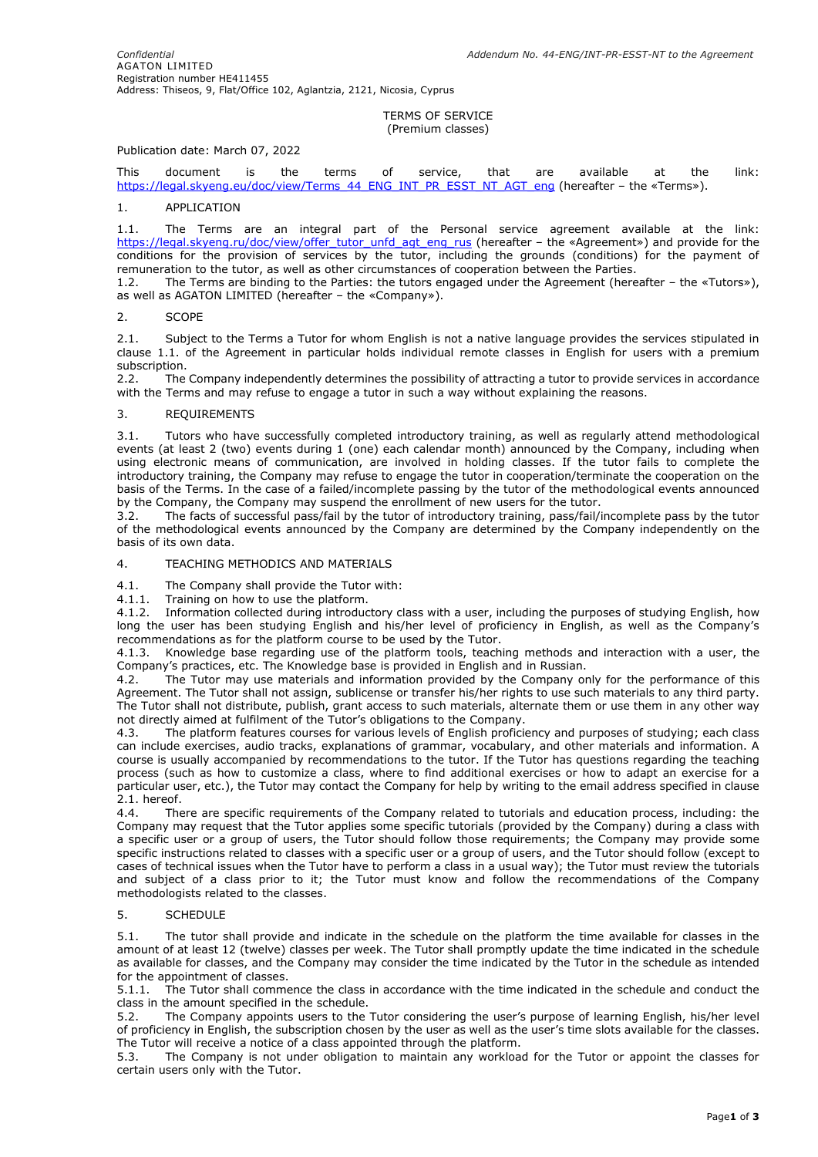### TERMS OF SERVICE (Premium classes)

## Publication date: March 07, 2022

This document is the terms of service, that are available at the link: [https://legal.skyeng.eu/doc/view/Terms\\_44\\_ENG\\_INT\\_PR\\_ESST\\_NT\\_AGT\\_eng](https://legal.skyeng.eu/doc/view/Terms_44_ENG_INT_PR_ESST_NT_AGT_eng) (hereafter – the «Terms»).

### 1. APPLICATION

1.1. The Terms are an integral part of the Personal service agreement available at the link: [https://legal.skyeng.ru/doc/view/offer\\_tutor\\_unfd\\_agt\\_eng\\_rus](https://legal.skyeng.ru/doc/view/offer_tutor_unfd_agt_eng_rus) (hereafter – the «Agreement») and provide for the conditions for the provision of services by the tutor, including the grounds (conditions) for the payment of remuneration to the tutor, as well as other circumstances of cooperation between the Parties.

1.2. The Terms are binding to the Parties: the tutors engaged under the Agreement (hereafter – the «Tutors»), as well as AGATON LIMITED (hereafter – the «Company»).

#### 2. SCOPE

2.1. Subject to the Terms a Tutor for whom English is not a native language provides the services stipulated in clause 1.1. of the Agreement in particular holds individual remote classes in English for users with a premium subscription.

2.2. The Company independently determines the possibility of attracting a tutor to provide services in accordance with the Terms and may refuse to engage a tutor in such a way without explaining the reasons.

### 3. REQUIREMENTS

3.1. Tutors who have successfully completed introductory training, as well as regularly attend methodological events (at least 2 (two) events during 1 (one) each calendar month) announced by the Company, including when using electronic means of communication, are involved in holding classes. If the tutor fails to complete the introductory training, the Company may refuse to engage the tutor in cooperation/terminate the cooperation on the basis of the Terms. In the case of a failed/incomplete passing by the tutor of the methodological events announced by the Company, the Company may suspend the enrollment of new users for the tutor.

3.2. The facts of successful pass/fail by the tutor of introductory training, pass/fail/incomplete pass by the tutor of the methodological events announced by the Company are determined by the Company independently on the basis of its own data.

# 4. TEACHING METHODICS AND MATERIALS

4.1. The Company shall provide the Tutor with:

4.1.1. Training on how to use the platform.

4.1.2. Information collected during introductory class with a user, including the purposes of studying English, how long the user has been studying English and his/her level of proficiency in English, as well as the Company's recommendations as for the platform course to be used by the Tutor.

4.1.3. Knowledge base regarding use of the platform tools, teaching methods and interaction with a user, the Company's practices, etc. The Knowledge base is provided in English and in Russian.

4.2. The Tutor may use materials and information provided by the Company only for the performance of this Agreement. The Tutor shall not assign, sublicense or transfer his/her rights to use such materials to any third party. The Tutor shall not distribute, publish, grant access to such materials, alternate them or use them in any other way not directly aimed at fulfilment of the Tutor's obligations to the Company.

4.3. The platform features courses for various levels of English proficiency and purposes of studying; each class can include exercises, audio tracks, explanations of grammar, vocabulary, and other materials and information. A course is usually accompanied by recommendations to the tutor. If the Tutor has questions regarding the teaching process (such as how to customize a class, where to find additional exercises or how to adapt an exercise for a particular user, etc.), the Tutor may contact the Company for help by writing to the email address specified in clause 2.1. hereof.

4.4. There are specific requirements of the Company related to tutorials and education process, including: the Company may request that the Tutor applies some specific tutorials (provided by the Company) during a class with a specific user or a group of users, the Tutor should follow those requirements; the Company may provide some specific instructions related to classes with a specific user or a group of users, and the Tutor should follow (except to cases of technical issues when the Tutor have to perform a class in a usual way); the Tutor must review the tutorials and subject of a class prior to it; the Tutor must know and follow the recommendations of the Company methodologists related to the classes.

## 5. SCHEDULE

5.1. The tutor shall provide and indicate in the schedule on the platform the time available for classes in the amount of at least 12 (twelve) classes per week. The Tutor shall promptly update the time indicated in the schedule as available for classes, and the Company may consider the time indicated by the Tutor in the schedule as intended for the appointment of classes.

5.1.1. The Tutor shall commence the class in accordance with the time indicated in the schedule and conduct the class in the amount specified in the schedule.

5.2. The Company appoints users to the Tutor considering the user's purpose of learning English, his/her level of proficiency in English, the subscription chosen by the user as well as the user's time slots available for the classes. The Tutor will receive a notice of a class appointed through the platform.

5.3. The Company is not under obligation to maintain any workload for the Tutor or appoint the classes for certain users only with the Tutor.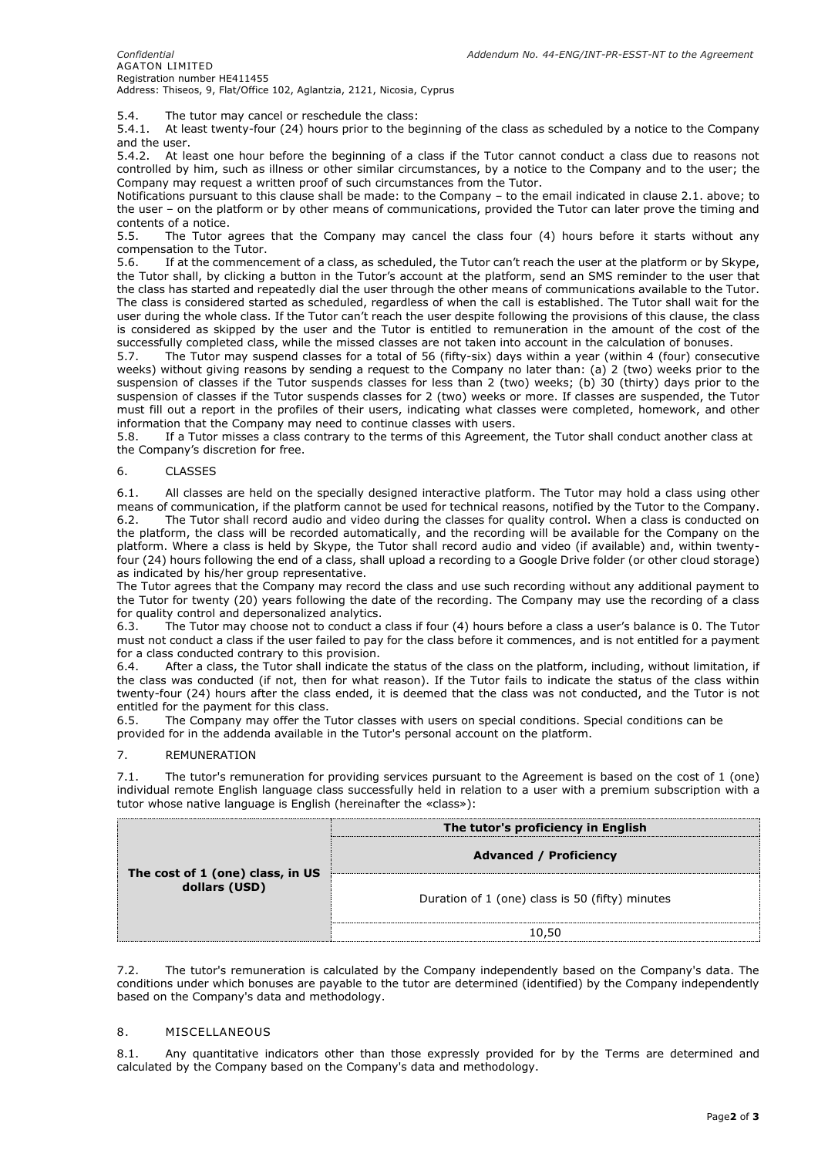5.4. The tutor may cancel or reschedule the class:

5.4.1. At least twenty-four (24) hours prior to the beginning of the class as scheduled by a notice to the Company and the user.

5.4.2. At least one hour before the beginning of a class if the Tutor cannot conduct a class due to reasons not controlled by him, such as illness or other similar circumstances, by a notice to the Company and to the user; the Company may request a written proof of such circumstances from the Tutor.

Notifications pursuant to this clause shall be made: to the Company – to the email indicated in clause 2.1. above; to the user – on the platform or by other means of communications, provided the Tutor can later prove the timing and contents of a notice.<br>5.5. The Tutor a

The Tutor agrees that the Company may cancel the class four (4) hours before it starts without any compensation to the Tutor.

5.6. If at the commencement of a class, as scheduled, the Tutor can't reach the user at the platform or by Skype, the Tutor shall, by clicking a button in the Tutor's account at the platform, send an SMS reminder to the user that the class has started and repeatedly dial the user through the other means of communications available to the Tutor. The class is considered started as scheduled, regardless of when the call is established. The Tutor shall wait for the user during the whole class. If the Tutor can't reach the user despite following the provisions of this clause, the class is considered as skipped by the user and the Tutor is entitled to remuneration in the amount of the cost of the successfully completed class, while the missed classes are not taken into account in the calculation of bonuses.

5.7. The Tutor may suspend classes for a total of 56 (fifty-six) days within a year (within 4 (four) consecutive weeks) without giving reasons by sending a request to the Company no later than: (a) 2 (two) weeks prior to the suspension of classes if the Tutor suspends classes for less than 2 (two) weeks; (b) 30 (thirty) days prior to the suspension of classes if the Tutor suspends classes for 2 (two) weeks or more. If classes are suspended, the Tutor must fill out a report in the profiles of their users, indicating what classes were completed, homework, and other information that the Company may need to continue classes with users.

5.8. If a Tutor misses a class contrary to the terms of this Agreement, the Tutor shall conduct another class at the Company's discretion for free.

## 6. CLASSES

6.1. All classes are held on the specially designed interactive platform. The Tutor may hold a class using other means of communication, if the platform cannot be used for technical reasons, notified by the Tutor to the Company. 6.2. The Tutor shall record audio and video during the classes for quality control. When a class is conducted on the platform, the class will be recorded automatically, and the recording will be available for the Company on the platform. Where a class is held by Skype, the Tutor shall record audio and video (if available) and, within twentyfour (24) hours following the end of a class, shall upload a recording to a Google Drive folder (or other cloud storage) as indicated by his/her group representative.

The Tutor agrees that the Company may record the class and use such recording without any additional payment to the Tutor for twenty (20) years following the date of the recording. The Company may use the recording of a class for quality control and depersonalized analytics.

6.3. The Tutor may choose not to conduct a class if four (4) hours before a class a user's balance is 0. The Tutor must not conduct a class if the user failed to pay for the class before it commences, and is not entitled for a payment for a class conducted contrary to this provision.

6.4. After a class, the Tutor shall indicate the status of the class on the platform, including, without limitation, if the class was conducted (if not, then for what reason). If the Tutor fails to indicate the status of the class within twenty-four (24) hours after the class ended, it is deemed that the class was not conducted, and the Tutor is not entitled for the payment for this class.

6.5. The Company may offer the Tutor classes with users on special conditions. Special conditions can be provided for in the addenda available in the Tutor's personal account on the platform.

## 7. REMUNERATION

7.1. The tutor's remuneration for providing services pursuant to the Agreement is based on the cost of 1 (one) individual remote English language class successfully held in relation to a user with a premium subscription with a tutor whose native language is English (hereinafter the «class»):

| The cost of 1 (one) class, in US<br>dollars (USD) | The tutor's proficiency in English<br><b>Advanced / Proficiency</b> |
|---------------------------------------------------|---------------------------------------------------------------------|
|                                                   | Duration of 1 (one) class is 50 (fifty) minutes                     |
|                                                   | 10,50                                                               |

7.2. The tutor's remuneration is calculated by the Company independently based on the Company's data. The conditions under which bonuses are payable to the tutor are determined (identified) by the Company independently based on the Company's data and methodology.

## 8. MISCELLANEOUS

8.1. Any quantitative indicators other than those expressly provided for by the Terms are determined and calculated by the Company based on the Company's data and methodology.